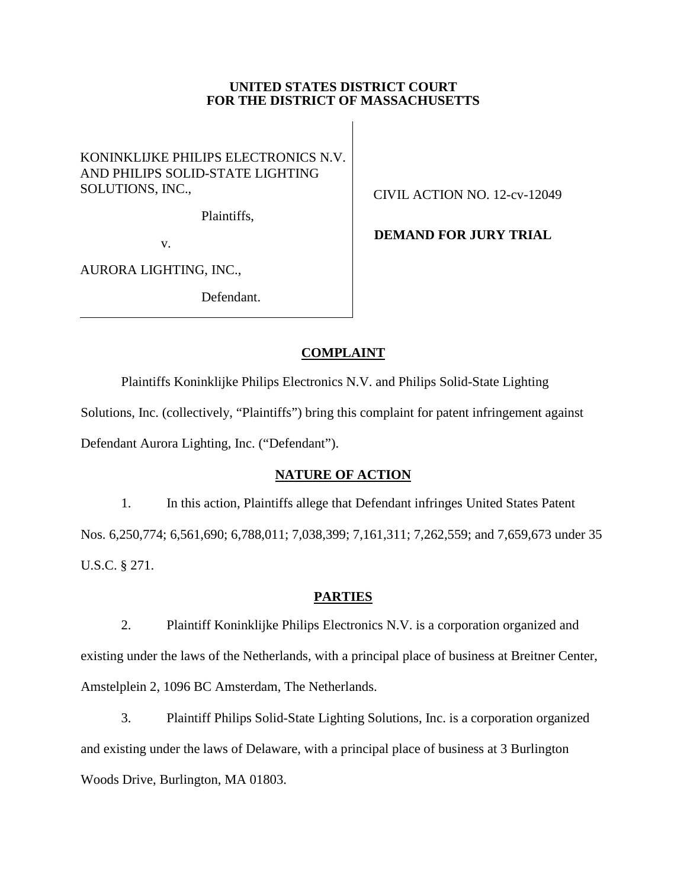### **UNITED STATES DISTRICT COURT FOR THE DISTRICT OF MASSACHUSETTS**

KONINKLIJKE PHILIPS ELECTRONICS N.V. AND PHILIPS SOLID-STATE LIGHTING SOLUTIONS, INC.,

Plaintiffs,

v.

AURORA LIGHTING, INC.,

Defendant.

CIVIL ACTION NO. 12-cv-12049

 **DEMAND FOR JURY TRIAL**

# **COMPLAINT**

Plaintiffs Koninklijke Philips Electronics N.V. and Philips Solid-State Lighting Solutions, Inc. (collectively, "Plaintiffs") bring this complaint for patent infringement against Defendant Aurora Lighting, Inc. ("Defendant").

# **NATURE OF ACTION**

1. In this action, Plaintiffs allege that Defendant infringes United States Patent Nos. 6,250,774; 6,561,690; 6,788,011; 7,038,399; 7,161,311; 7,262,559; and 7,659,673 under 35 U.S.C. § 271.

# **PARTIES**

2. Plaintiff Koninklijke Philips Electronics N.V. is a corporation organized and existing under the laws of the Netherlands, with a principal place of business at Breitner Center, Amstelplein 2, 1096 BC Amsterdam, The Netherlands.

3. Plaintiff Philips Solid-State Lighting Solutions, Inc. is a corporation organized and existing under the laws of Delaware, with a principal place of business at 3 Burlington Woods Drive, Burlington, MA 01803.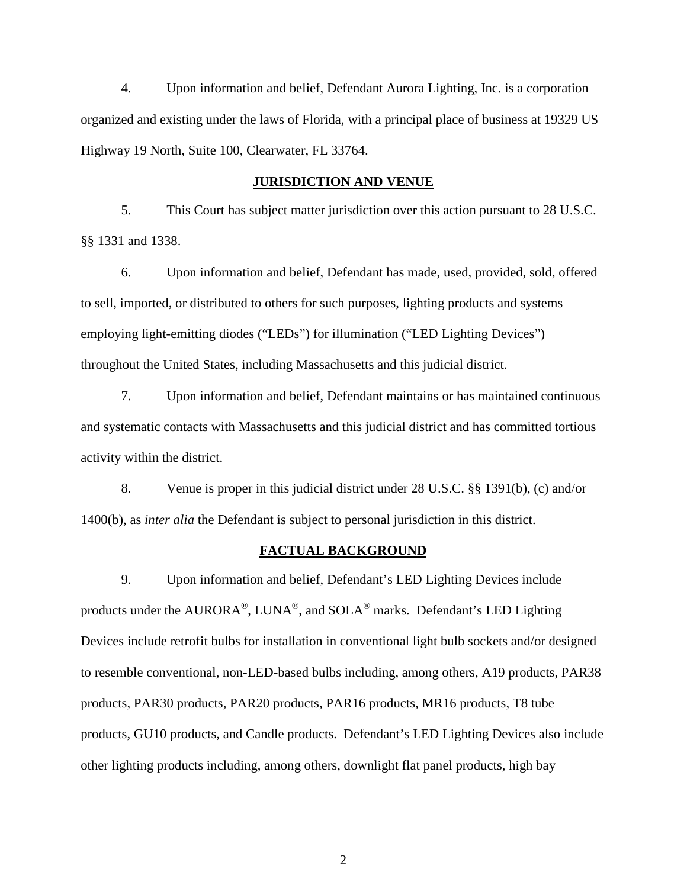4. Upon information and belief, Defendant Aurora Lighting, Inc. is a corporation organized and existing under the laws of Florida, with a principal place of business at 19329 US Highway 19 North, Suite 100, Clearwater, FL 33764.

#### **JURISDICTION AND VENUE**

5. This Court has subject matter jurisdiction over this action pursuant to 28 U.S.C. §§ 1331 and 1338.

6. Upon information and belief, Defendant has made, used, provided, sold, offered to sell, imported, or distributed to others for such purposes, lighting products and systems employing light-emitting diodes ("LEDs") for illumination ("LED Lighting Devices") throughout the United States, including Massachusetts and this judicial district.

7. Upon information and belief, Defendant maintains or has maintained continuous and systematic contacts with Massachusetts and this judicial district and has committed tortious activity within the district.

8. Venue is proper in this judicial district under 28 U.S.C. §§ 1391(b), (c) and/or 1400(b), as *inter alia* the Defendant is subject to personal jurisdiction in this district.

#### **FACTUAL BACKGROUND**

9. Upon information and belief, Defendant's LED Lighting Devices include products under the AURORA®, LUNA®, and SOLA® marks. Defendant's LED Lighting Devices include retrofit bulbs for installation in conventional light bulb sockets and/or designed to resemble conventional, non-LED-based bulbs including, among others, A19 products, PAR38 products, PAR30 products, PAR20 products, PAR16 products, MR16 products, T8 tube products, GU10 products, and Candle products. Defendant's LED Lighting Devices also include other lighting products including, among others, downlight flat panel products, high bay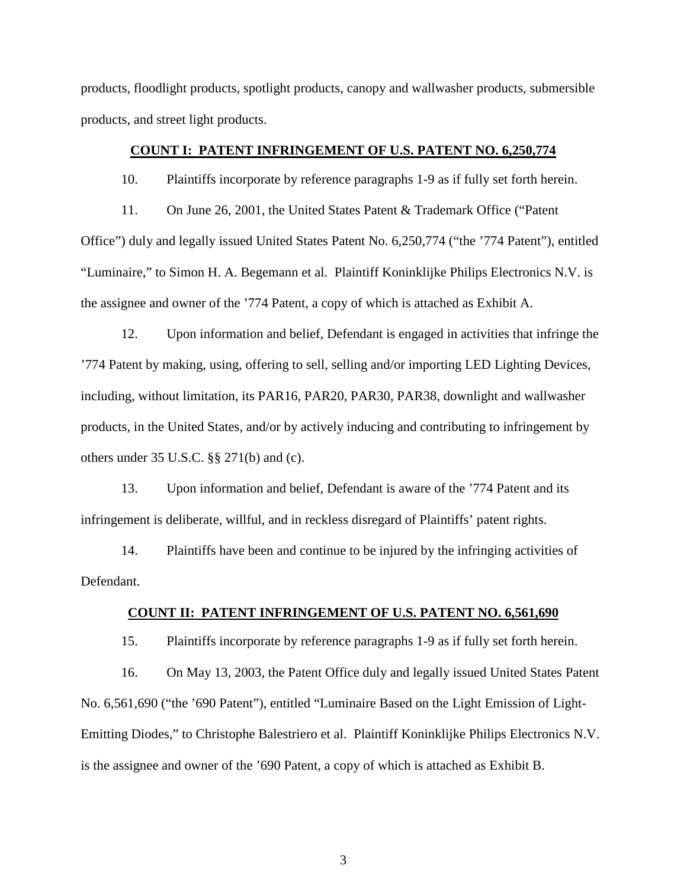products, floodlight products, spotlight products, canopy and wallwasher products, submersible products, and street light products.

### **COUNT I: PATENT INFRINGEMENT OF U.S. PATENT NO. 6,250,774**

10. Plaintiffs incorporate by reference paragraphs 1-9 as if fully set forth herein.

11. On June 26, 2001, the United States Patent & Trademark Office ("Patent Office") duly and legally issued United States Patent No. 6,250,774 ("the '774 Patent"), entitled "Luminaire," to Simon H. A. Begemann et al. Plaintiff Koninklijke Philips Electronics N.V. is the assignee and owner of the '774 Patent, a copy of which is attached as Exhibit A.

12. Upon information and belief, Defendant is engaged in activities that infringe the '774 Patent by making, using, offering to sell, selling and/or importing LED Lighting Devices, including, without limitation, its PAR16, PAR20, PAR30, PAR38, downlight and wallwasher products, in the United States, and/or by actively inducing and contributing to infringement by others under 35 U.S.C. §§ 271(b) and (c).

13. Upon information and belief, Defendant is aware of the '774 Patent and its infringement is deliberate, willful, and in reckless disregard of Plaintiffs' patent rights.

14. Plaintiffs have been and continue to be injured by the infringing activities of Defendant.

# **COUNT II: PATENT INFRINGEMENT OF U.S. PATENT NO. 6,561,690**

15. Plaintiffs incorporate by reference paragraphs 1-9 as if fully set forth herein.

16. On May 13, 2003, the Patent Office duly and legally issued United States Patent No. 6,561,690 ("the '690 Patent"), entitled "Luminaire Based on the Light Emission of Light-Emitting Diodes," to Christophe Balestriero et al. Plaintiff Koninklijke Philips Electronics N.V. is the assignee and owner of the '690 Patent, a copy of which is attached as Exhibit B.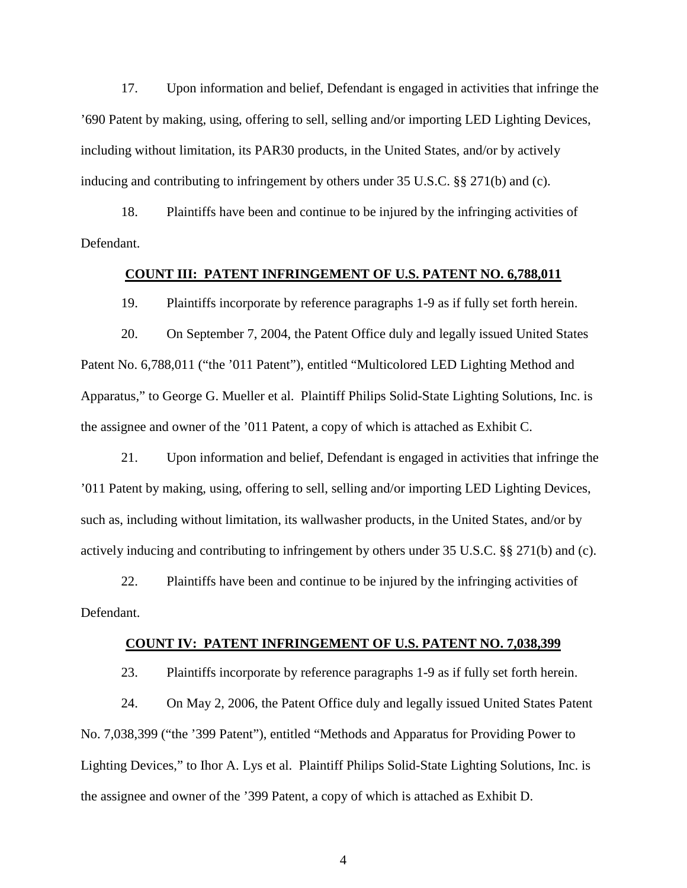17. Upon information and belief, Defendant is engaged in activities that infringe the '690 Patent by making, using, offering to sell, selling and/or importing LED Lighting Devices, including without limitation, its PAR30 products, in the United States, and/or by actively inducing and contributing to infringement by others under 35 U.S.C. §§ 271(b) and (c).

18. Plaintiffs have been and continue to be injured by the infringing activities of Defendant.

#### **COUNT III: PATENT INFRINGEMENT OF U.S. PATENT NO. 6,788,011**

19. Plaintiffs incorporate by reference paragraphs 1-9 as if fully set forth herein.

20. On September 7, 2004, the Patent Office duly and legally issued United States Patent No. 6,788,011 ("the '011 Patent"), entitled "Multicolored LED Lighting Method and Apparatus," to George G. Mueller et al. Plaintiff Philips Solid-State Lighting Solutions, Inc. is the assignee and owner of the '011 Patent, a copy of which is attached as Exhibit C.

21. Upon information and belief, Defendant is engaged in activities that infringe the '011 Patent by making, using, offering to sell, selling and/or importing LED Lighting Devices, such as, including without limitation, its wallwasher products, in the United States, and/or by actively inducing and contributing to infringement by others under 35 U.S.C. §§ 271(b) and (c).

22. Plaintiffs have been and continue to be injured by the infringing activities of Defendant.

#### **COUNT IV: PATENT INFRINGEMENT OF U.S. PATENT NO. 7,038,399**

23. Plaintiffs incorporate by reference paragraphs 1-9 as if fully set forth herein.

24. On May 2, 2006, the Patent Office duly and legally issued United States Patent No. 7,038,399 ("the '399 Patent"), entitled "Methods and Apparatus for Providing Power to Lighting Devices," to Ihor A. Lys et al. Plaintiff Philips Solid-State Lighting Solutions, Inc. is the assignee and owner of the '399 Patent, a copy of which is attached as Exhibit D.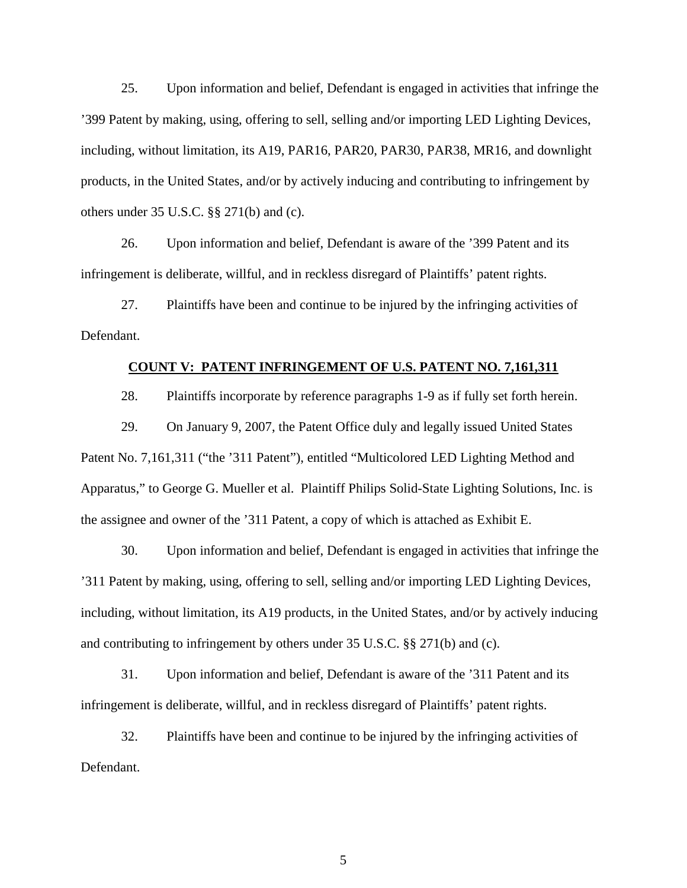25. Upon information and belief, Defendant is engaged in activities that infringe the '399 Patent by making, using, offering to sell, selling and/or importing LED Lighting Devices, including, without limitation, its A19, PAR16, PAR20, PAR30, PAR38, MR16, and downlight products, in the United States, and/or by actively inducing and contributing to infringement by others under 35 U.S.C. §§ 271(b) and (c).

26. Upon information and belief, Defendant is aware of the '399 Patent and its infringement is deliberate, willful, and in reckless disregard of Plaintiffs' patent rights.

27. Plaintiffs have been and continue to be injured by the infringing activities of Defendant.

### **COUNT V: PATENT INFRINGEMENT OF U.S. PATENT NO. 7,161,311**

28. Plaintiffs incorporate by reference paragraphs 1-9 as if fully set forth herein.

29. On January 9, 2007, the Patent Office duly and legally issued United States Patent No. 7,161,311 ("the '311 Patent"), entitled "Multicolored LED Lighting Method and Apparatus," to George G. Mueller et al. Plaintiff Philips Solid-State Lighting Solutions, Inc. is the assignee and owner of the '311 Patent, a copy of which is attached as Exhibit E.

30. Upon information and belief, Defendant is engaged in activities that infringe the '311 Patent by making, using, offering to sell, selling and/or importing LED Lighting Devices, including, without limitation, its A19 products, in the United States, and/or by actively inducing and contributing to infringement by others under 35 U.S.C. §§ 271(b) and (c).

31. Upon information and belief, Defendant is aware of the '311 Patent and its infringement is deliberate, willful, and in reckless disregard of Plaintiffs' patent rights.

32. Plaintiffs have been and continue to be injured by the infringing activities of Defendant.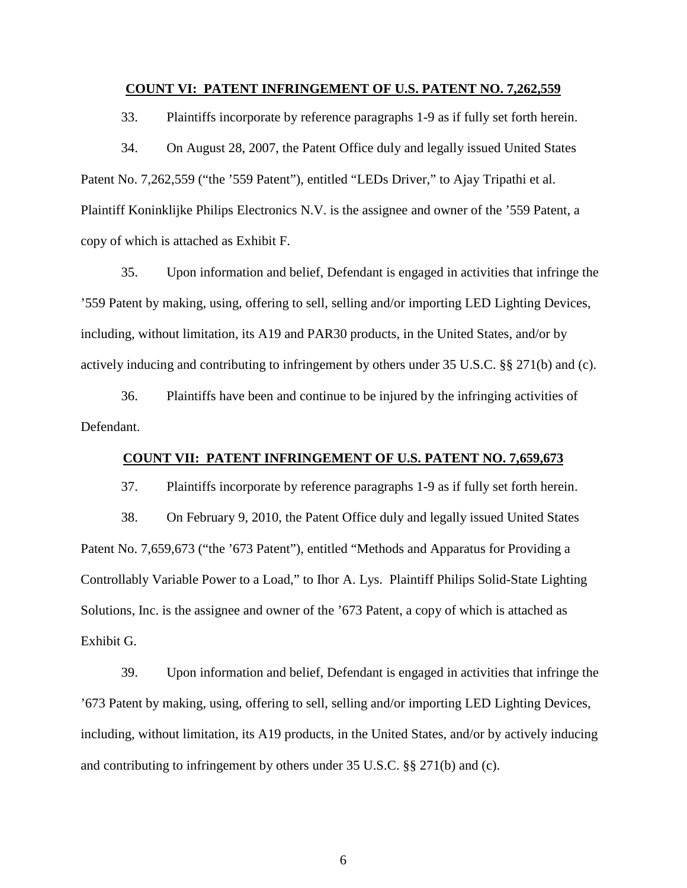#### **COUNT VI: PATENT INFRINGEMENT OF U.S. PATENT NO. 7,262,559**

33. Plaintiffs incorporate by reference paragraphs 1-9 as if fully set forth herein.

34. On August 28, 2007, the Patent Office duly and legally issued United States Patent No. 7,262,559 ("the '559 Patent"), entitled "LEDs Driver," to Ajay Tripathi et al. Plaintiff Koninklijke Philips Electronics N.V. is the assignee and owner of the '559 Patent, a copy of which is attached as Exhibit F.

35. Upon information and belief, Defendant is engaged in activities that infringe the '559 Patent by making, using, offering to sell, selling and/or importing LED Lighting Devices, including, without limitation, its A19 and PAR30 products, in the United States, and/or by actively inducing and contributing to infringement by others under 35 U.S.C. §§ 271(b) and (c).

36. Plaintiffs have been and continue to be injured by the infringing activities of Defendant.

### **COUNT VII: PATENT INFRINGEMENT OF U.S. PATENT NO. 7,659,673**

37. Plaintiffs incorporate by reference paragraphs 1-9 as if fully set forth herein.

38. On February 9, 2010, the Patent Office duly and legally issued United States Patent No. 7,659,673 ("the '673 Patent"), entitled "Methods and Apparatus for Providing a Controllably Variable Power to a Load," to Ihor A. Lys. Plaintiff Philips Solid-State Lighting Solutions, Inc. is the assignee and owner of the '673 Patent, a copy of which is attached as Exhibit G.

39. Upon information and belief, Defendant is engaged in activities that infringe the '673 Patent by making, using, offering to sell, selling and/or importing LED Lighting Devices, including, without limitation, its A19 products, in the United States, and/or by actively inducing and contributing to infringement by others under 35 U.S.C. §§ 271(b) and (c).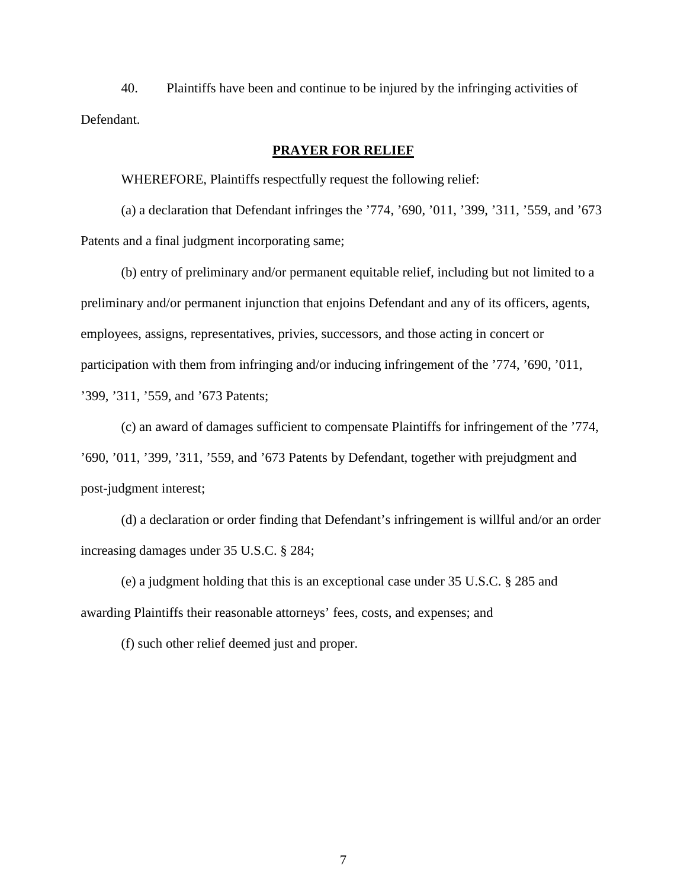40. Plaintiffs have been and continue to be injured by the infringing activities of Defendant.

# **PRAYER FOR RELIEF**

WHEREFORE, Plaintiffs respectfully request the following relief:

(a) a declaration that Defendant infringes the '774, '690, '011, '399, '311, '559, and '673 Patents and a final judgment incorporating same;

(b) entry of preliminary and/or permanent equitable relief, including but not limited to a preliminary and/or permanent injunction that enjoins Defendant and any of its officers, agents, employees, assigns, representatives, privies, successors, and those acting in concert or participation with them from infringing and/or inducing infringement of the '774, '690, '011, '399, '311, '559, and '673 Patents;

(c) an award of damages sufficient to compensate Plaintiffs for infringement of the '774, '690, '011, '399, '311, '559, and '673 Patents by Defendant, together with prejudgment and post-judgment interest;

(d) a declaration or order finding that Defendant's infringement is willful and/or an order increasing damages under 35 U.S.C. § 284;

(e) a judgment holding that this is an exceptional case under 35 U.S.C. § 285 and awarding Plaintiffs their reasonable attorneys' fees, costs, and expenses; and

(f) such other relief deemed just and proper.